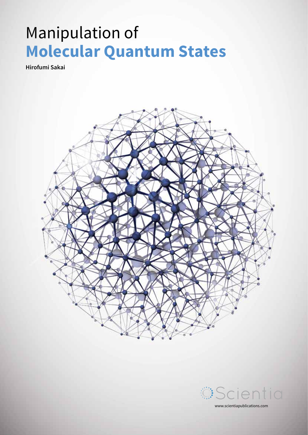# Manipulation of **Molecular Quantum States**

**Hirofumi Sakai**



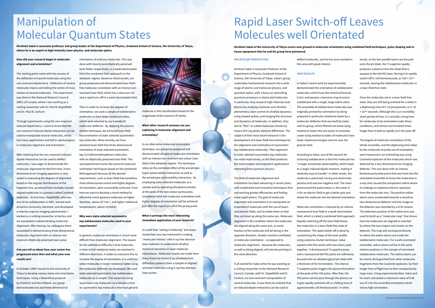# **How did your research begin in molecular alignment and orientation?**

The starting point came with the success of the deflection of neutral molecules using the non-resonant dipole force. Deflection of neutral molecules means controlling the centre-of-mass motion of neutral molecules. This experiment was done in the National Research Council (NRC) of Canada, where I was working as a visiting researcher with Dr. Henrik Stapelfeldt and Dr. Paul B. Corkum.

Through experiments using the non-resonant induced dipole force, I came to know that the non-resonant induced dipole interaction can be used to manipulate neutral molecules, which has many applications and led to rapid progress in molecular alignment and orientation.

After realising that the non-resonant induced dipole interaction can be used to deflect molecules, I was eager to demonstrate the molecular alignment for the first time. A twodimensional ion imaging apparatus is very useful in evaluating the degrees of alignment based on the angular distributions of the fragment ions, produced from multiply-ionised aligned molecules in a process called Coulomb explosion. At that time, Stapelfeldt, who was one of my collaborators in NRC, started work at Aarhus University, Denmark, and developed a velocity-map ion imaging spectrometer. I worked as a visiting researcher at Aarhus and we succeeded in demonstrating molecular alignment. After leaving, my colleagues there succeeded in demonstrating three-dimensional molecular alignment with an intense nonresonant elliptically polarised laser pulse.

# **Can you tell us about how your career has progressed since then and what your new results are?**

In October 1999 I moved to the University of Tokyo to develop various molecular orientation techniques. Using a theoretical proposal by Friedrich and Herschbach, our group demonstrated one and three-dimensional

orientation of ordinary molecules. This was done with linearly and elliptically polarised laser fields, respectively, in a weak electrostatic field (the combined-field approach) in the adiabatic regime. Based on these results, our group proposed and demonstrated laser-fieldfree molecular orientation with an intense nonresonant laser field, which has a slow turn-on and a rapid turn-off in a weak electrostatic field.

Then in order to increase the degrees of orientation, we used a sample of iodobenzene molecules in their lower rotational states, which were selected by our homebuilt molecular deflector. By applying the plasma shutter technique, we achieved laser-fieldfree orientation of state-selected asymmetric top molecules. More recently, we have achieved laser-field-free three-dimensional orientation of state-selected asymmetric top (3,4-dibromothiophene) molecules, with an elliptically polarised laser field. This accomplishment marks the acme of molecular orientation techniques based on the combinedfield approach because all the desired requirements, such as laser-field-free condition, three-dimensional control and higher degrees of orientation, were successfully achieved. From here we want to develop a novel method to efficiently orient gaseous molecules at higher densities, above 1017cm 3, and higher rotational temperatures, above 10 Kelvin.

### **Why were state-selected asymmetric top iodobenzene molecules used in your experiments?**

In general, molecular orientation is much more difficult than molecular alignment. The reason for the additional difficulty is that molecules in their initial rotational states are oriented in different directions. In order to overcome this to increase the degree of orientation, it is useful to select molecules in lower rotational states using the molecular deflector we developed. We used state-selected asymmetric top iodobenzene molecules as a sample. The reason for using asymmetric top molecules as a sample is that an asymmetric top molecule is the most general

# Manipulation of Molecular Quantum States

**Hirofumi Sakai is associate professor and group leader at the Department of Physics, Graduate School of Science, the University of Tokyo, where he is an expert in high-intensity laser physics, and molecular optics.**

#### **MOLECULAR ORIENTATION**

Hirofumi Sakai is Associate Professor at the Department of Physics, Graduate School of Science, the University of Tokyo. Sakai's group undertakes fundamental research into a wide range of atomic and molecular physics, and quantum optics, with a focus on controlling quantum processes in atoms and molecules. In particular, they research high-intensity laser physics by studying nonlinear and ultrafast phenomena, laser control of ultrafast dynamics using shaped pulses, and imaging the structure and dynamics of molecules. In addition, they aim to "film" so-called molecular movies by means of X-ray photo-electron diffraction. The subject of their most recent research is the development of a laser-field-free technique for the alignment and orientation of asymmetric top iodobenzene molecules. Their approach to state-selected asymmetric top molecules has wide implications, as this field produces the most modern and important applications stemming from quantum physics.

The field of molecular alignment and orientation has been advancing in recent years, with established and innovative techniques that are reaching greater efficiencies and finding novel applications. The goal of molecular alignment and orientation is to manipulate an ensemble of molecules with the use of lasers and electric fields, and to rotate them so that they are lined up along the same axis. Molecular alignment is the condition where the molecules are aligned along the same axis, so some fraction of the molecules will be facing in the opposite direction. Greater control is exhibited in molecular orientation – as opposed to molecular alignment – because the molecules, as well as being aligned, will also be pointing in the same direction.

It all started for Sakai when he was working as a visiting researcher at the National Research Council, Canada, with Dr. Stapelfeldt and Dr. Corkum, on non-resonant manipulation of neutral molecules. It was there he realised that an induced dipole interaction can be used to

# Rapid Laser Switch-off Leaves Molecules well Orientated

**Hirofumi Sakai of the University of Tokyo covers new ground in molecular orientation using combined field techniques, pulse shaping and inhouse equipment that he and his group have pioneered.** 

> deflect molecules, and he has since worked in this area with great interest.

### **NEW RESULTS**

In Sakai's recent work he experimentally demonstrated the orientation of iodobenzene molecules, which have the chemical formula C6H5I, and possess a benzene ring structure substituted with a single, large iodine atom. The ensemble of iodobenzene molecules was originally primed for orientation by being prepared in particular rotational states by a molecular deflector that was built by Sakai and his group, which filtered out lower-lying rotational states that are easier to orientate. Lower-lying rotational states of molecules have lower rotational energies and are near the ground state.

According to Sakai, one of the reasons for choosing iodobenzene is that this molecule has "a larger anisotropic polarisability, which leads to a larger induced dipole moment, making it relatively easy to handle". In other words, the molecule is polarised, having one electrically positive end and one negative end. The more pronounced the polarisation is, the easier it is for an electric field to get a better grip and rotate the molecule into the desired orientation.

Molecular orientation is induced by an intense nanosecond laser field in a weak electrostatic filed, which is called a combined field approach. Rapidly switching off the laser field leaves the molecules in a laser-field-free state of orientation. The rapid switch-off is done by customising the shape of the laser profile using a plasma shutter technique. Sakai explains that this works with two lasers used together: "a femtosecond Ti:sapphire pulse and a nanosecond Nd:YAG pulse are collinearly focused onto an ethylene glycol jet sheet with a thickness of 50 micrometers. The intense Ti:sapphire pulse triggers the plasma formation at the peak of the YAG pulse. After that, the YAG pulse cannot pass through the plasma so it gets rapidly switched-off, in a falling time of approximately 150 femtoseconds". In other

г

œ ۰.



molecule in the classification based on the magnitude of the moment of inertia.

# **What other research avenues are you exploring in molecular alignment and orientation?**

As an alternative molecular orientation technique, our group has proposed and demonstrated all-optical molecular orientation with an intense non-resonant two colour laser field in the adiabatic regime. The technique relies on the combined effect of the anisotropic hyper-polarisability interaction as well as the anisotropic polarisability interaction. By employing state-selected molecules as a sample and by operating the plasma shutter at the peak of the two-colour pump pulse, completely field-free molecular orientation with higher degrees of orientation will be achieved just after the rapid turn-off of the pump pulse.

# **What is perhaps the most interesting immediate application of your research?**

It is said that "seeing is believing" and many researchers are now interested in making "molecular movies" with X-ray free electron laser radiation to understand ultrafast structural dynamics in laser-molecule interactions. Molecular movies are made from many frame-by-frame X-ray photoelectron diffraction patterns from a sample of aligned/ oriented molecules using X-ray free-electron laser pulses.

words, as the two parallel lasers are focused onto the jet sheet, the Ti:sapphire rapidly produces a plasma from the sheet that is opaque to the Nd:YAG laser, forcing it to rapidly switch-off in 150 femtoseconds, or 150 × 10 15 seconds, leaving the iodobenzene molecules in a laser-field-free state.

Once the molecules are in a laser-field-free state, they are still being oriented for a while in a dephasing time of 5–10 picoseconds, or 5–10 × 10 12 seconds. Although this is an incredibly short period of time, it is actually a long time for molecules to be orientated under these conditions, and almost one hundred times longer than it took to rapidly turn the laser off.

The degree of molecular orientation of the whole ensemble, and the dephasing time taken by the molecules to jostle out of orientation, were measured in an interesting way using Coulomb explosion of the molecules which was detected by a two-dimensional ion imaging detector. This was done with an intense femtosecond probe pulse that was fired into the orientated ensemble to ionise the molecules in a way that caused the component iodine atoms to undergo an explosive electric repulsion from the molecular ions. The positive iodine atoms were accelerated towards a sensitive, two-dimensional detector and the image on the detector was recorded by a CCD camera. The detection position of the iodine ions was used to build up a "molecular map" that shows how the molecules are aligned or oriented by where the ions impact and cluster on the detector. The map will correspond directly to where the iodine atoms are inside the iodobenzene molecules. For a well-orientated ensemble, iodine atoms will be in the same relative positions in the sample of orientated iodobenzene molecules. The iodine atoms can be clearly distinguished from other molecular fragments from the Coulomb explosion, by their longer time of flight due to their comparatively large mass. Using experimental data, Sakai and his team calculated a maximum value of 0.68 out of 1 for the ensemble orientation which shows high orientation.